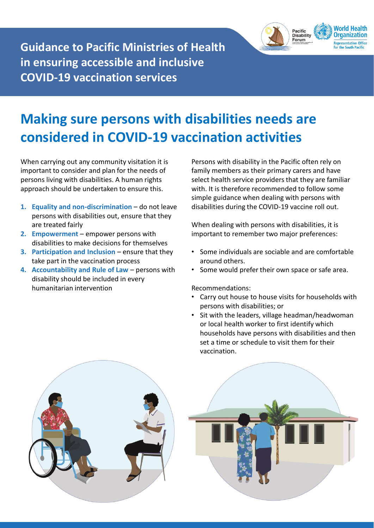

**Guidance to Pacific Ministries of Health in ensuring accessible and inclusive COVID-19 vaccination services**

## **Making sure persons with disabilities needs are considered in COVID-19 vaccination activities**

When carrying out any community visitation it is important to consider and plan for the needs of persons living with disabilities. A human rights approach should be undertaken to ensure this.

- 1. **Equality and non-discrimination do not leave** persons with disabilities out, ensure that they are treated fairly
- **2. Empowerment**  empower persons with disabilities to make decisions for themselves
- **3. Participation and Inclusion ensure that they** take part in the vaccination process
- **4. Accountability and Rule of Law**  persons with disability should be included in every humanitarian intervention

Persons with disability in the Pacific often rely on family members as their primary carers and have select health service providers that they are familiar with. It is therefore recommended to follow some simple guidance when dealing with persons with disabilities during the COVID-19 vaccine roll out.

When dealing with persons with disabilities, it is important to remember two major preferences:

- Some individuals are sociable and are comfortable around others.
- Some would prefer their own space or safe area.

Recommendations:

- Carry out house to house visits for households with persons with disabilities; or
- Sit with the leaders, village headman/headwoman or local health worker to first identify which households have persons with disabilities and then set a time or schedule to visit them for their vaccination.



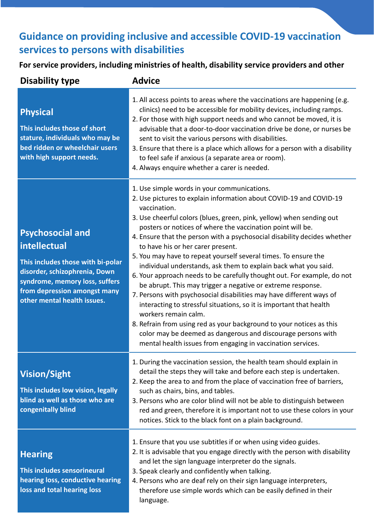## **Guidance on providing inclusive and accessible COVID-19 vaccination services to persons with disabilities**

**For service providers, including ministries of health, disability service providers and other**

| <b>Disability type</b>                                                                                                                                                                                         | <b>Advice</b>                                                                                                                                                                                                                                                                                                                                                                                                                                                                                                                                                                                                                                                                                                                                                                                                                                                                                                                                                                                                                                          |
|----------------------------------------------------------------------------------------------------------------------------------------------------------------------------------------------------------------|--------------------------------------------------------------------------------------------------------------------------------------------------------------------------------------------------------------------------------------------------------------------------------------------------------------------------------------------------------------------------------------------------------------------------------------------------------------------------------------------------------------------------------------------------------------------------------------------------------------------------------------------------------------------------------------------------------------------------------------------------------------------------------------------------------------------------------------------------------------------------------------------------------------------------------------------------------------------------------------------------------------------------------------------------------|
| <b>Physical</b><br>This includes those of short<br>stature, individuals who may be<br>bed ridden or wheelchair users<br>with high support needs.                                                               | 1. All access points to areas where the vaccinations are happening (e.g.<br>clinics) need to be accessible for mobility devices, including ramps.<br>2. For those with high support needs and who cannot be moved, it is<br>advisable that a door-to-door vaccination drive be done, or nurses be<br>sent to visit the various persons with disabilities.<br>3. Ensure that there is a place which allows for a person with a disability<br>to feel safe if anxious (a separate area or room).<br>4. Always enquire whether a carer is needed.                                                                                                                                                                                                                                                                                                                                                                                                                                                                                                         |
| <b>Psychosocial and</b><br>intellectual<br>This includes those with bi-polar<br>disorder, schizophrenia, Down<br>syndrome, memory loss, suffers<br>from depression amongst many<br>other mental health issues. | 1. Use simple words in your communications.<br>2. Use pictures to explain information about COVID-19 and COVID-19<br>vaccination.<br>3. Use cheerful colors (blues, green, pink, yellow) when sending out<br>posters or notices of where the vaccination point will be.<br>4. Ensure that the person with a psychosocial disability decides whether<br>to have his or her carer present.<br>5. You may have to repeat yourself several times. To ensure the<br>individual understands, ask them to explain back what you said.<br>6. Your approach needs to be carefully thought out. For example, do not<br>be abrupt. This may trigger a negative or extreme response.<br>7. Persons with psychosocial disabilities may have different ways of<br>interacting to stressful situations, so it is important that health<br>workers remain calm.<br>8. Refrain from using red as your background to your notices as this<br>color may be deemed as dangerous and discourage persons with<br>mental health issues from engaging in vaccination services. |
| <b>Vision/Sight</b><br>This includes low vision, legally<br>blind as well as those who are<br>congenitally blind                                                                                               | 1. During the vaccination session, the health team should explain in<br>detail the steps they will take and before each step is undertaken.<br>2. Keep the area to and from the place of vaccination free of barriers,<br>such as chairs, bins, and tables.<br>3. Persons who are color blind will not be able to distinguish between<br>red and green, therefore it is important not to use these colors in your<br>notices. Stick to the black font on a plain background.                                                                                                                                                                                                                                                                                                                                                                                                                                                                                                                                                                           |
|                                                                                                                                                                                                                | 1. Ensure that you use subtitles if or when using video guides.                                                                                                                                                                                                                                                                                                                                                                                                                                                                                                                                                                                                                                                                                                                                                                                                                                                                                                                                                                                        |

2. It is advisable that you engage directly with the person with disability and let the sign language interpreter do the signals.

- 3. Speak clearly and confidently when talking.
- 4. Persons who are deaf rely on their sign language interpreters, therefore use simple words which can be easily defined in their language.

**Hearing** 

**This includes sensorineural hearing loss, conductive hearing loss and total hearing loss**